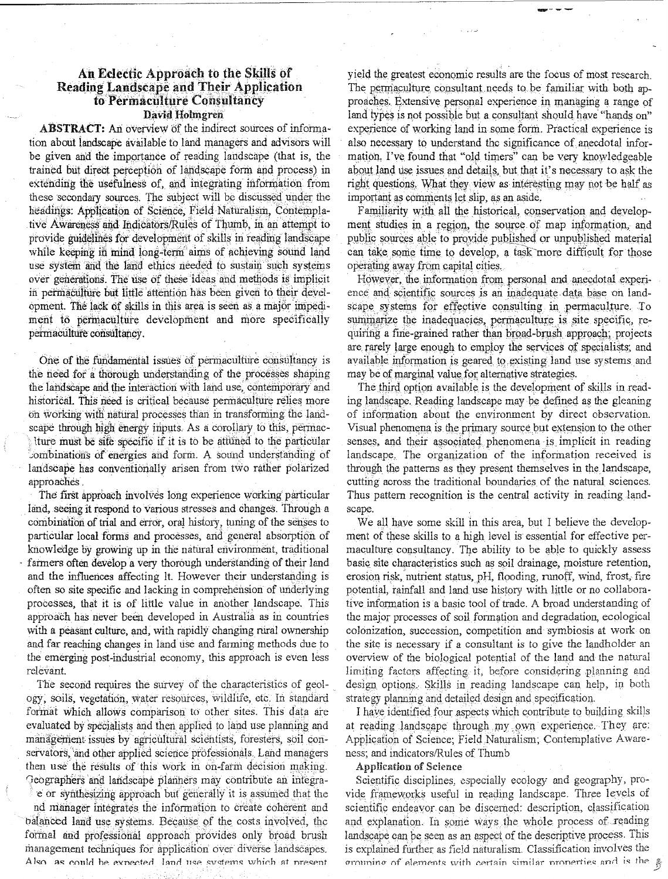# An Eclectic Approach to the Skills of **Reading Landscape and Their Application** to Permaculture Consultancy David Holmgren

**ABSTRACT:** An overview of the indirect sources of information about landscape available to land managers and advisors will be given and the importance of reading landscape (that is, the trained but direct perception of landscape form and process) in extending the usefulness of, and integrating information from these secondary sources. The subject will be discussed under the headings: Application of Science, Field Naturalism, Contemplative Awareness and Indicators/Rules of Thumb, in an attempt to provide guidelines for development of skills in reading landscape while keeping in mind long-term aims of achieving sound land use system and the land ethics needed to sustain such systems over generations. The use of these ideas and methods is implicit in permaculture but little attention has been given to their development. The lack of skills in this area is seen as a major impediment to permaculture development and more specifically permaculture consultancy.

One of the fundamental issues of permaculture consultancy is the need for a thorough understanding of the processes shaping the landscape and the interaction with land use, contemporary and historical. This need is critical because permaculture relies more on working with natural processes than in transforming the landscape through high energy inputs. As a corollary to this, permaclture must be site specific if it is to be attuned to the particular combinations of energies and form. A sound understanding of landscape has conventionally arisen from two rather polarized approaches.

The first approach involves long experience working particular land, seeing it respond to various stresses and changes. Through a combination of trial and error, oral history, tuning of the senses to particular local forms and processes, and general absorption of knowledge by growing up in the natural environment, traditional farmers often develop a very thorough understanding of their land and the influences affecting it. However their understanding is often so site specific and lacking in comprehension of underlying processes, that it is of little value in another landscape. This approach has never been developed in Australia as in countries with a peasant culture, and, with rapidly changing rural ownership and far reaching changes in land use and farming methods due to the emerging post-industrial economy, this approach is even less relevant.

The second requires the survey of the characteristics of geology, soils, vegetation, water resources, wildlife, etc. In standard format which allows comparison to other sites. This data are evaluated by specialists and then applied to land use planning and management issues by agricultural scientists, foresters, soil conservators, and other applied science professionals. Land managers then use the results of this work in on-farm decision making. Geographers and landscape planners may contribute an integra-

e or synthesizing approach but generally it is assumed that the nd manager integrates the information to create coherent and balanced land use systems. Because of the costs involved, the formal and professional approach provides only broad brush management techniques for application over diverse landscapes. Also as could be expected land use systems which at present

yield the greatest economic results are the focus of most research. The permaculture consultant needs to be familiar with both approaches. Extensive personal experience in managing a range of land types is not possible but a consultant should have "hands on" experience of working land in some form. Practical experience is also necessary to understand the significance of anecdotal information. I've found that "old timers" can be very knowledgeable about land use issues and details, but that it's necessary to ask the right questions. What they view as interesting may not be half as important as comments let slip, as an aside.

Familiarity with all the historical, conservation and development studies in a region, the source of map information, and public sources able to provide published or unpublished material can take some time to develop, a task more difficult for those operating away from capital cities.

However, the information from personal and anecdotal experience and scientific sources is an inadequate data base on landscape systems for effective consulting in permaculture. To summarize the inadequacies, permaculture is site specific, requiring a fine-grained rather than broad-brush approach; projects are rarely large enough to employ the services of specialists; and available information is geared to existing land use systems and may be of marginal value for alternative strategies.

The third option available is the development of skills in reading landscape. Reading landscape may be defined as the gleaning of information about the environment by direct observation. Visual phenomena is the primary source but extension to the other senses, and their associated phenomena is implicit in reading landscape. The organization of the information received is through the patterns as they present themselves in the landscape, cutting across the traditional boundaries of the natural sciences. Thus pattern recognition is the central activity in reading landscape.

We all have some skill in this area, but I believe the development of these skills to a high level is essential for effective permaculture consultancy. The ability to be able to quickly assess basic site characteristics such as soil drainage, moisture retention, erosion risk, nutrient status, pH, flooding, runoff, wind, frost, fire potential, rainfall and land use history with little or no collaborative information is a basic tool of trade. A broad understanding of the major processes of soil formation and degradation, ecological colonization, succession, competition and symbiosis at work on the site is necessary if a consultant is to give the landholder an overview of the biological potential of the land and the natural limiting factors affecting it, before considering planning and design options. Skills in reading landscape can help, in both strategy planning and detailed design and specification.

I have identified four aspects which contribute to building skills at reading landscape through my own experience. They are: Application of Science; Field Naturalism; Contemplative Awareness; and indicators/Rules of Thumb

### **Application of Science**

Scientific disciplines, especially ecology and geography, provide frameworks useful in reading landscape. Three levels of scientific endeavor can be discerned: description, classification and explanation. In some ways the whole process of reading landscape can be seen as an aspect of the descriptive process. This is explained further as field naturalism. Classification involves the orouning of elements with certain similar properties and is the  $\frac{2}{3}$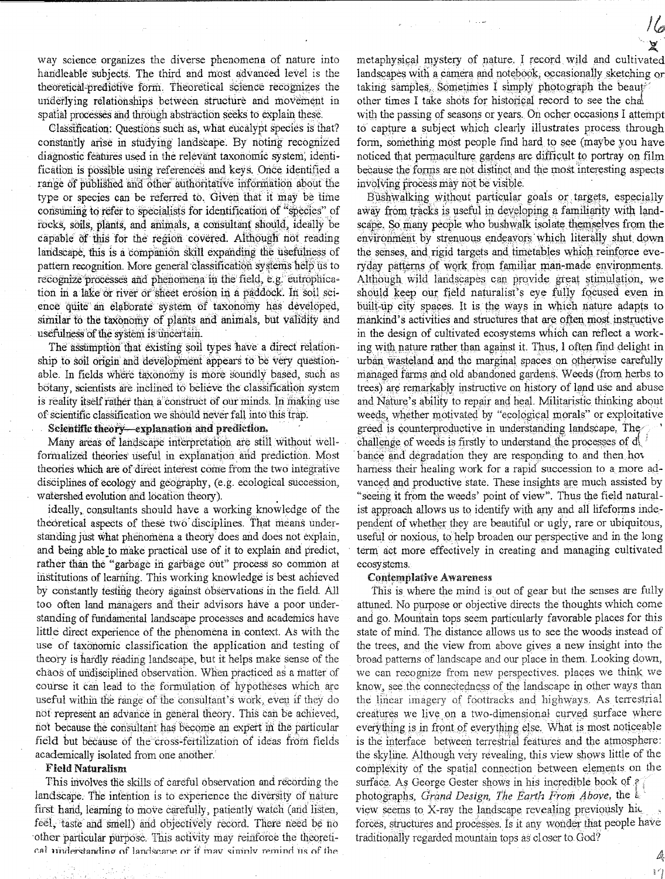way science organizes the diverse phenomena of nature into handleable subjects. The third and most advanced level is the theoretical-predictive form. Theoretical science recognizes the underlying relationships between structure and movement in spatial processes and through abstraction seeks to explain these.

Classification: Questions such as, what eucalypt species is that? constantly arise in studying landscape. By noting recognized diagnostic features used in the relevant taxonomic system, identification is possible using references and keys. Once identified a range of published and other authoritative information about the type or species can be referred to. Given that it may be time consuming to refer to specialists for identification of "species" of rocks, soils, plants, and animals, a consultant should, ideally be capable of this for the region covered. Although not reading landscape, this is a companion skill expanding the usefulness of pattern recognition. More general classification systems help us to recognize processes and phenomena in the field, e.g. eutrophication in a lake or river or sheet erosion in a paddock. In soil science quite an elaborate system of taxonomy has developed, similar to the taxonomy of plants and animals, but validity and usefulness of the system is uncertain.

The assumption that existing soil types have a direct relationship to soil origin and development appears to be very questionable. In fields where taxonomy is more soundly based, such as botany, scientists are inclined to believe the classification system is reality itself rather than a construct of our minds. In making use of scientific classification we should never fall into this trap.

Scientific theory-explanation and prediction.

Many areas of landscape interpretation are still without wellformalized theories useful in explanation and prediction. Most theories which are of direct interest come from the two integrative disciplines of ecology and geography, (e.g. ecological succession, watershed evolution and location theory).

ideally, consultants should have a working knowledge of the theoretical aspects of these two disciplines. That means understanding just what phenomena a theory does and does not explain, and being able to make practical use of it to explain and predict, rather than the "garbage in garbage out" process so common at institutions of learning. This working knowledge is best achieved by constantly testing theory against observations in the field. All too often land managers and their advisors have a poor understanding of fundamental landscape processes and academics have little direct experience of the phenomena in context. As with the use of taxonomic classification the application and testing of theory is hardly reading landscape, but it helps make sense of the chaos of undisciplined observation. When practiced as a matter of course it can lead to the formulation of hypotheses which are useful within the range of the consultant's work, even if they do not represent an advance in general theory. This can be achieved, not because the consultant has become an expert in the particular field but because of the cross-fertilization of ideas from fields academically isolated from one another.

# **Field Naturalism**

This involves the skills of careful observation and recording the landscape. The intention is to experience the diversity of nature first hand, learning to move carefully, patiently watch (and listen, feel, taste and smell) and objectively record. There need be no other particular purpose. This activity may reinforce the theoretical understanding of landscane or if may simply remind us of the

metaphysical mystery of nature. I record wild and cultivated landscapes with a camera and notebook, occasionally sketching or taking samples. Sometimes I simply photograph the beaut other times I take shots for historical record to see the cha with the passing of seasons or years. On ocher occasions I attempt to capture a subject which clearly illustrates process through form, something most people find hard to see (maybe you have noticed that permaculture gardens are difficult to portray on film because the forms are not distinct and the most interesting aspects involving process may not be visible.

16

Ą  $\frac{8}{8}$   $\epsilon'$ 

Bushwalking without particular goals or targets, especially away from tracks is useful in developing a familiarity with landscape. So many people who bushwalk isolate themselves from the environment by strenuous endeavors which literally shut down the senses, and rigid targets and timetables which reinforce everyday patterns of work from familiar man-made environments. Although wild landscapes can provide great stimulation, we should keep our field naturalist's eye fully focused even in built-up city spaces. It is the ways in which nature adapts to mankind's activities and structures that are often most instructive in the design of cultivated ecosystems which can reflect a working with nature rather than against it. Thus, I often find delight in urban wasteland and the marginal spaces on otherwise carefully managed farms and old abandoned gardens. Weeds (from herbs to trees) are remarkably instructive on history of land use and abuse and Nature's ability to repair and heal. Militaristic thinking about weeds, whether motivated by "ecological morals" or exploitative greed is counterproductive in understanding landscape. The challenge of weeds is firstly to understand the processes of d bance and degradation they are responding to and then hove harness their healing work for a rapid succession to a more advanced and productive state. These insights are much assisted by "seeing it from the weeds' point of view". Thus the field naturalist approach allows us to identify with any and all lifeforms independent of whether they are beautiful or ugly, rare or ubiquitous, useful or noxious, to help broaden our perspective and in the long term act more effectively in creating and managing cultivated ecosystems.

#### **Contemplative Awareness**

This is where the mind is out of gear but the senses are fully attuned. No purpose or objective directs the thoughts which come and go. Mountain tops seem particularly favorable places for this state of mind. The distance allows us to see the woods instead of the trees, and the view from above gives a new insight into the broad patterns of landscape and our place in them. Looking down, we can recognize from new perspectives. places we think we know, see the connectedness of the landscape in other ways than the linear imagery of foottracks and highways. As terrestrial creatures we live on a two-dimensional curved surface where everything is in front of everything else. What is most noticeable is the interface between terrestrial features and the atmosphere: the skyline. Although very revealing, this view shows little of the complexity of the spatial connection between elements on the surface. As George Gester shows in his incredible book of  $\ell$ photographs, Grand Design, The Earth From Above, the b view seems to X-ray the landscape revealing previously hic forces, structures and processes. Is it any wonder that people have traditionally regarded mountain tops as closer to God?